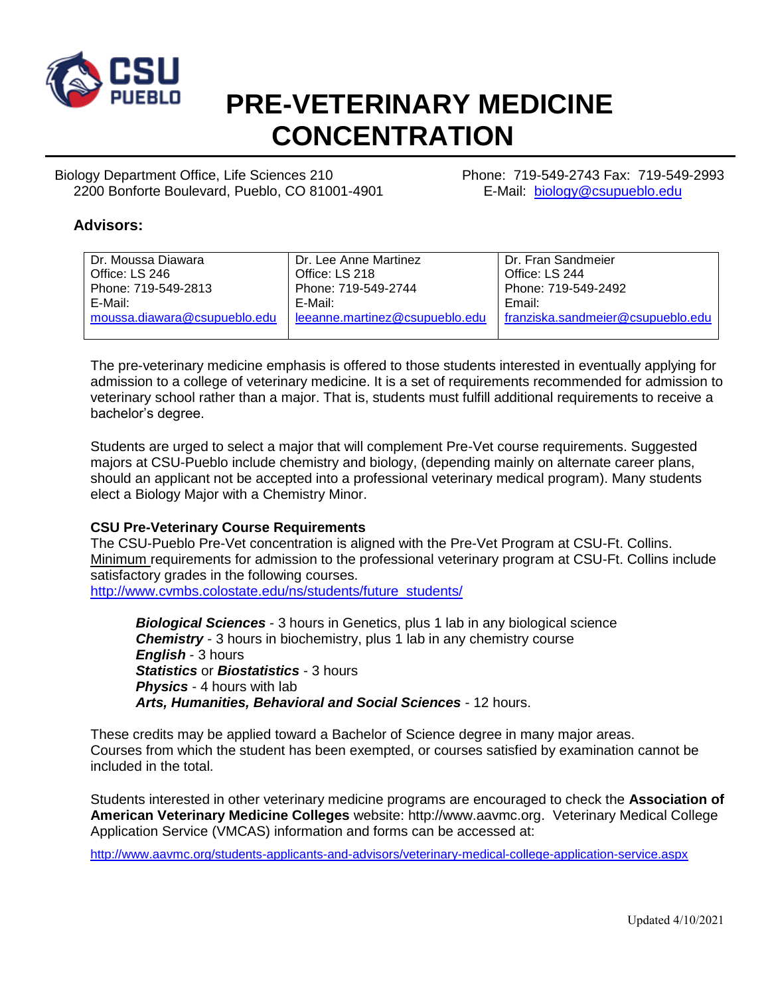

# **PRE-VETERINARY MEDICINE CONCENTRATION**

Biology Department Office, Life Sciences 210 Phone: 719-549-2743 Fax: 719-549-2993 2200 Bonforte Boulevard, Pueblo, CO 81001-4901 E-Mail: [biology@csupueblo.edu](mailto:biology@csupueblo.edu)

#### **Advisors:**

| l Dr. Moussa Diawara                        | Dr. Lee Anne Martinez          | Dr. Fran Sandmeier                |
|---------------------------------------------|--------------------------------|-----------------------------------|
| Office: LS 246                              | Office: LS 218                 | Office: LS 244                    |
| Phone: 719-549-2813                         | Phone: 719-549-2744            | Phone: 719-549-2492               |
| E-Mail:                                     | E-Mail:                        | Email:                            |
| $\blacksquare$ moussa.diawara@csupueblo.edu | leeanne.martinez@csupueblo.edu | franziska.sandmeier@csupueblo.edu |
|                                             |                                |                                   |

The pre-veterinary medicine emphasis is offered to those students interested in eventually applying for admission to a college of veterinary medicine. It is a set of requirements recommended for admission to veterinary school rather than a major. That is, students must fulfill additional requirements to receive a bachelor's degree.

Students are urged to select a major that will complement Pre-Vet course requirements. Suggested majors at CSU-Pueblo include chemistry and biology, (depending mainly on alternate career plans, should an applicant not be accepted into a professional veterinary medical program). Many students elect a Biology Major with a Chemistry Minor.

#### **CSU Pre-Veterinary Course Requirements**

The CSU-Pueblo Pre-Vet concentration is aligned with the Pre-Vet Program at CSU-Ft. Collins. Minimum requirements for admission to the professional veterinary program at CSU-Ft. Collins include satisfactory grades in the following courses.

[http://www.cvmbs.colostate.edu/ns/students/future\\_students/](http://www.cvmbs.colostate.edu/ns/students/future_students/)

*Biological Sciences* - 3 hours in Genetics, plus 1 lab in any biological science **Chemistry** - 3 hours in biochemistry, plus 1 lab in any chemistry course *English* - 3 hours *Statistics* or *Biostatistics* - 3 hours *Physics* - 4 hours with lab *Arts, Humanities, Behavioral and Social Sciences* - 12 hours.

These credits may be applied toward a Bachelor of Science degree in many major areas. Courses from which the student has been exempted, or courses satisfied by examination cannot be included in the total.

Students interested in other veterinary medicine programs are encouraged to check the **Association of American Veterinary Medicine Colleges** website: http:/[/www.aavmc.org.](http://www.aavmc.org/) Veterinary Medical College Application Service (VMCAS) information and forms can be accessed at:

<http://www.aavmc.org/students-applicants-and-advisors/veterinary-medical-college-application-service.aspx>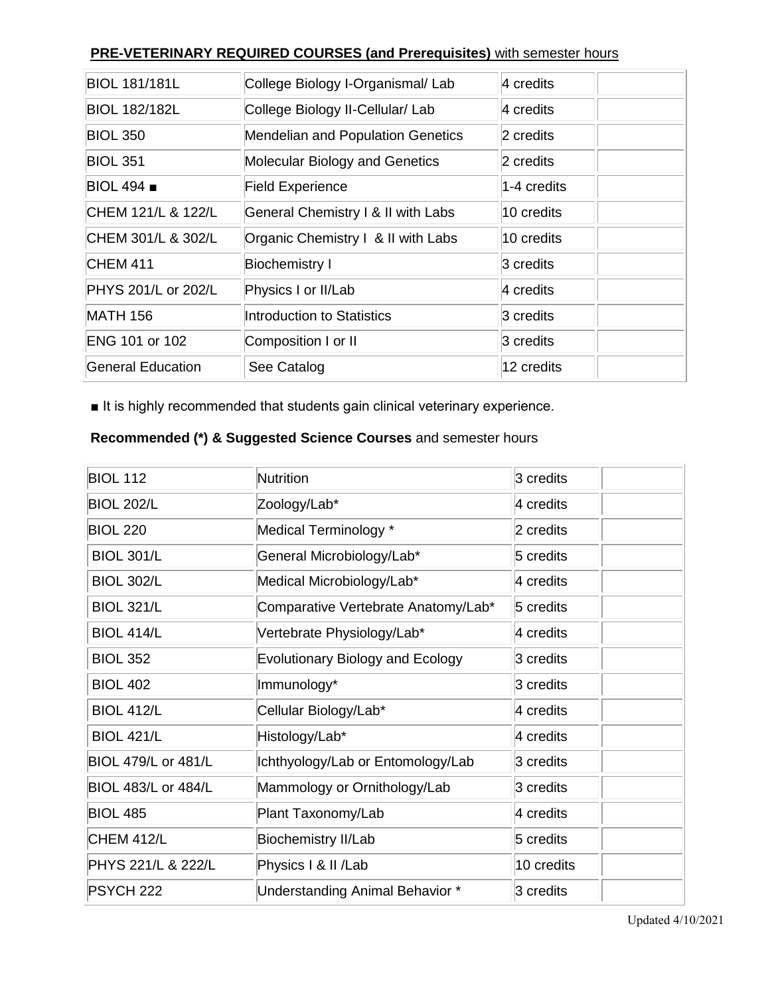### **PRE-VETERINARY REQUIRED COURSES (and Prerequisites)** with semester hours

| <b>BIOL 181/181L</b> | College Biology I-Organismal/ Lab  | 4 credits   |
|----------------------|------------------------------------|-------------|
| <b>BIOL 182/182L</b> | College Biology II-Cellular/ Lab   | 4 credits   |
| <b>BIOL 350</b>      | Mendelian and Population Genetics  | 2 credits   |
| <b>BIOL 351</b>      | Molecular Biology and Genetics     | 2 credits   |
| <b>BIOL 494 .</b>    | <b>Field Experience</b>            | 1-4 credits |
| CHEM 121/L & 122/L   | General Chemistry I & II with Labs | 10 credits  |
| CHEM 301/L & 302/L   | Organic Chemistry I & II with Labs | 10 credits  |
| <b>CHEM 411</b>      | <b>Biochemistry I</b>              | 3 credits   |
| PHYS 201/L or 202/L  | Physics I or II/Lab                | 4 credits   |
| <b>MATH 156</b>      | Introduction to Statistics         | 3 credits   |
| ENG 101 or 102       | Composition I or II                | 3 credits   |
| General Education    | See Catalog                        | l12 credits |

■ It is highly recommended that students gain clinical veterinary experience.

### **Recommended (\*) & Suggested Science Courses** and semester hours

| <b>BIOL 112</b>            | <b>Nutrition</b>                        | 3 credits  |
|----------------------------|-----------------------------------------|------------|
| <b>BIOL 202/L</b>          | Zoology/Lab*                            | 4 credits  |
| <b>BIOL 220</b>            | Medical Terminology *                   | 2 credits  |
| <b>BIOL 301/L</b>          | General Microbiology/Lab*               | 5 credits  |
| <b>BIOL 302/L</b>          | Medical Microbiology/Lab*               | 4 credits  |
| <b>BIOL 321/L</b>          | Comparative Vertebrate Anatomy/Lab*     | 5 credits  |
| <b>BIOL 414/L</b>          | Vertebrate Physiology/Lab*              | 4 credits  |
| <b>BIOL 352</b>            | <b>Evolutionary Biology and Ecology</b> | 3 credits  |
| <b>BIOL 402</b>            | Immunology*                             | 3 credits  |
| <b>BIOL 412/L</b>          | Cellular Biology/Lab*                   | 4 credits  |
| <b>BIOL 421/L</b>          | Histology/Lab*                          | 4 credits  |
| <b>BIOL 479/L or 481/L</b> | Ichthyology/Lab or Entomology/Lab       | 3 credits  |
| <b>BIOL 483/L or 484/L</b> | Mammology or Ornithology/Lab            | 3 credits  |
| <b>BIOL 485</b>            | Plant Taxonomy/Lab                      | 4 credits  |
| <b>CHEM 412/L</b>          | <b>Biochemistry II/Lab</b>              | 5 credits  |
| PHYS 221/L & 222/L         | Physics I & II /Lab                     | 10 credits |
| PSYCH 222                  | Understanding Animal Behavior *         | 3 credits  |

Updated 4/10/2021